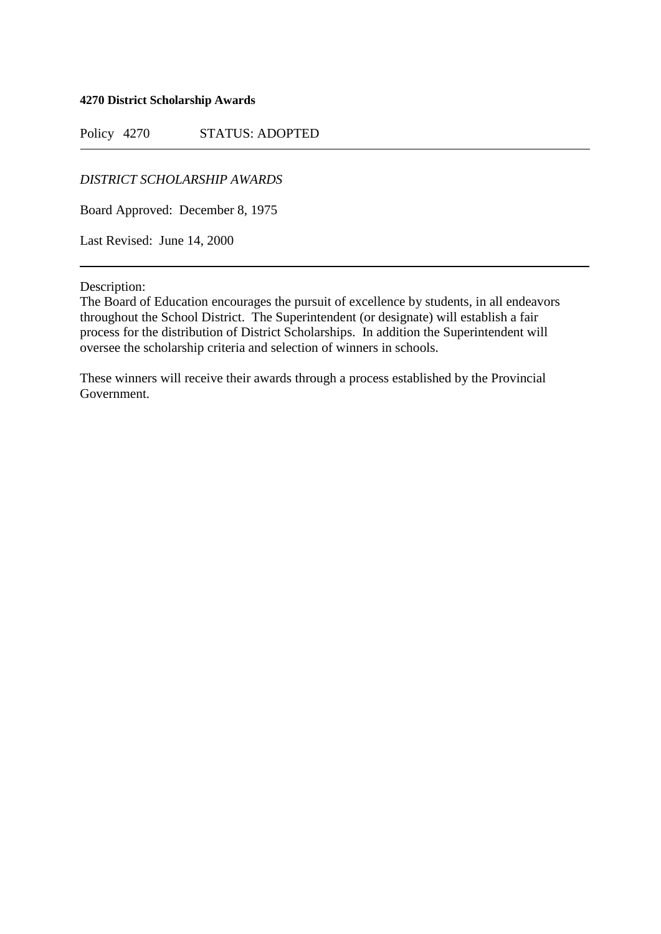**4270 District Scholarship Awards**

Policy 4270 STATUS: ADOPTED

*DISTRICT SCHOLARSHIP AWARDS*

Board Approved: December 8, 1975

Last Revised: June 14, 2000

Description:

The Board of Education encourages the pursuit of excellence by students, in all endeavors throughout the School District. The Superintendent (or designate) will establish a fair process for the distribution of District Scholarships. In addition the Superintendent will oversee the scholarship criteria and selection of winners in schools.

These winners will receive their awards through a process established by the Provincial Government.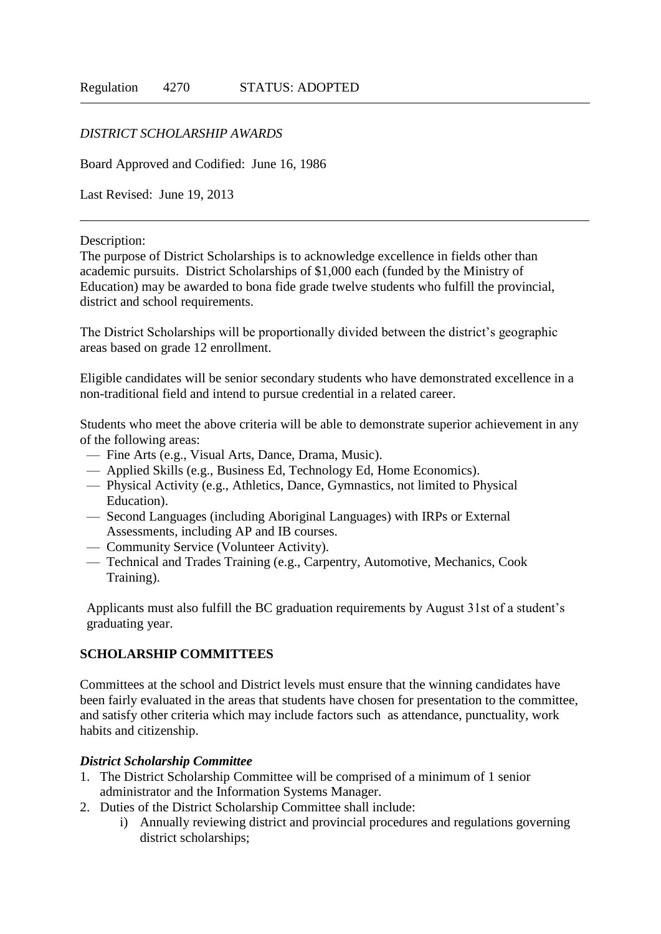## *DISTRICT SCHOLARSHIP AWARDS*

Board Approved and Codified: June 16, 1986

Last Revised: June 19, 2013

Description:

The purpose of District Scholarships is to acknowledge excellence in fields other than academic pursuits. District Scholarships of \$1,000 each (funded by the Ministry of Education) may be awarded to bona fide grade twelve students who fulfill the provincial, district and school requirements.

The District Scholarships will be proportionally divided between the district's geographic areas based on grade 12 enrollment.

Eligible candidates will be senior secondary students who have demonstrated excellence in a non-traditional field and intend to pursue credential in a related career.

Students who meet the above criteria will be able to demonstrate superior achievement in any of the following areas:

- Fine Arts (e.g., Visual Arts, Dance, Drama, Music).
- Applied Skills (e.g., Business Ed, Technology Ed, Home Economics).
- Physical Activity (e.g., Athletics, Dance, Gymnastics, not limited to Physical Education).
- Second Languages (including Aboriginal Languages) with IRPs or External Assessments, including AP and IB courses.
- Community Service (Volunteer Activity).
- Technical and Trades Training (e.g., Carpentry, Automotive, Mechanics, Cook Training).

Applicants must also fulfill the BC graduation requirements by August 31st of a student's graduating year.

## **SCHOLARSHIP COMMITTEES**

Committees at the school and District levels must ensure that the winning candidates have been fairly evaluated in the areas that students have chosen for presentation to the committee, and satisfy other criteria which may include factors such as attendance, punctuality, work habits and citizenship.

## *District Scholarship Committee*

- 1. The District Scholarship Committee will be comprised of a minimum of 1 senior administrator and the Information Systems Manager.
- 2. Duties of the District Scholarship Committee shall include:
	- i) Annually reviewing district and provincial procedures and regulations governing district scholarships;